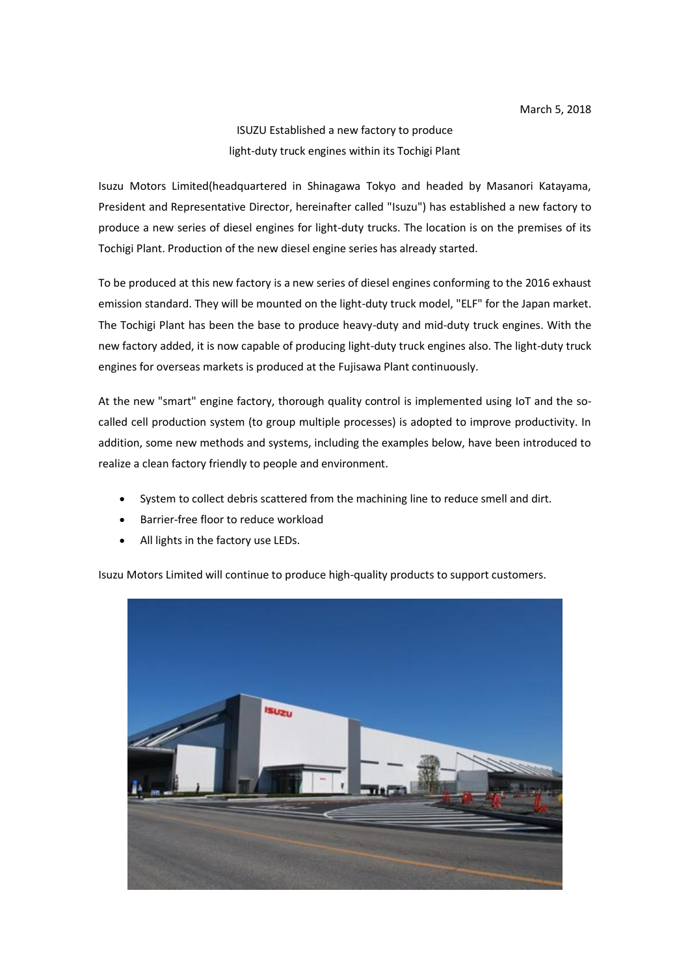## ISUZU Established a new factory to produce light-duty truck engines within its Tochigi Plant

Isuzu Motors Limited(headquartered in Shinagawa Tokyo and headed by Masanori Katayama, President and Representative Director, hereinafter called "Isuzu") has established a new factory to produce a new series of diesel engines for light-duty trucks. The location is on the premises of its Tochigi Plant. Production of the new diesel engine series has already started.

To be produced at this new factory is a new series of diesel engines conforming to the 2016 exhaust emission standard. They will be mounted on the light-duty truck model, "ELF" for the Japan market. The Tochigi Plant has been the base to produce heavy-duty and mid-duty truck engines. With the new factory added, it is now capable of producing light-duty truck engines also. The light-duty truck engines for overseas markets is produced at the Fujisawa Plant continuously.

At the new "smart" engine factory, thorough quality control is implemented using IoT and the socalled cell production system (to group multiple processes) is adopted to improve productivity. In addition, some new methods and systems, including the examples below, have been introduced to realize a clean factory friendly to people and environment.

- System to collect debris scattered from the machining line to reduce smell and dirt.
- Barrier-free floor to reduce workload
- All lights in the factory use LEDs.

Isuzu Motors Limited will continue to produce high-quality products to support customers.